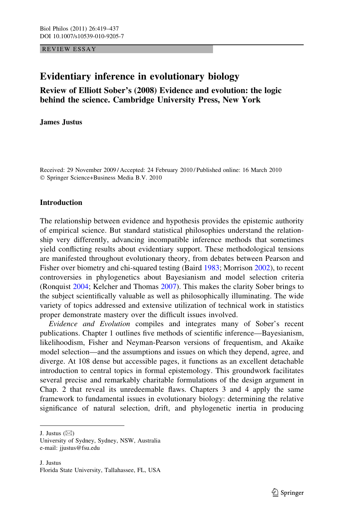#### REVIEW ESSAY

# Evidentiary inference in evolutionary biology

Review of Elliott Sober's (2008) Evidence and evolution: the logic behind the science. Cambridge University Press, New York

James Justus

Received: 29 November 2009 / Accepted: 24 February 2010 / Published online: 16 March 2010 - Springer Science+Business Media B.V. 2010

### Introduction

The relationship between evidence and hypothesis provides the epistemic authority of empirical science. But standard statistical philosophies understand the relationship very differently, advancing incompatible inference methods that sometimes yield conflicting results about evidentiary support. These methodological tensions are manifested throughout evolutionary theory, from debates between Pearson and Fisher over biometry and chi-squared testing (Baird [1983;](#page-17-0) Morrison [2002](#page-18-0)), to recent controversies in phylogenetics about Bayesianism and model selection criteria (Ronquist [2004](#page-18-0); Kelcher and Thomas [2007\)](#page-17-0). This makes the clarity Sober brings to the subject scientifically valuable as well as philosophically illuminating. The wide variety of topics addressed and extensive utilization of technical work in statistics proper demonstrate mastery over the difficult issues involved.

Evidence and Evolution compiles and integrates many of Sober's recent publications. Chapter 1 outlines five methods of scientific inference—Bayesianism, likelihoodism, Fisher and Neyman-Pearson versions of frequentism, and Akaike model selection—and the assumptions and issues on which they depend, agree, and diverge. At 108 dense but accessible pages, it functions as an excellent detachable introduction to central topics in formal epistemology. This groundwork facilitates several precise and remarkably charitable formulations of the design argument in Chap. 2 that reveal its unredeemable flaws. Chapters 3 and 4 apply the same framework to fundamental issues in evolutionary biology: determining the relative significance of natural selection, drift, and phylogenetic inertia in producing

J. Justus  $(\boxtimes)$ 

University of Sydney, Sydney, NSW, Australia e-mail: jjustus@fsu.edu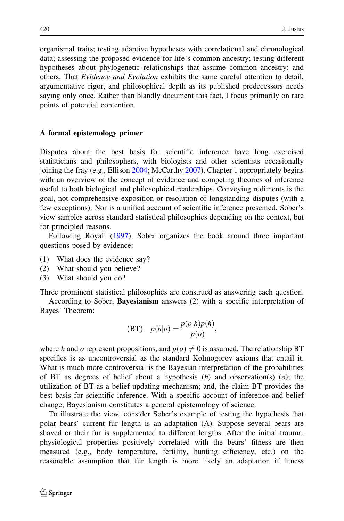organismal traits; testing adaptive hypotheses with correlational and chronological data; assessing the proposed evidence for life's common ancestry; testing different hypotheses about phylogenetic relationships that assume common ancestry; and others. That Evidence and Evolution exhibits the same careful attention to detail, argumentative rigor, and philosophical depth as its published predecessors needs saying only once. Rather than blandly document this fact, I focus primarily on rare points of potential contention.

#### A formal epistemology primer

Disputes about the best basis for scientific inference have long exercised statisticians and philosophers, with biologists and other scientists occasionally joining the fray (e.g., Ellison [2004;](#page-17-0) McCarthy [2007\)](#page-18-0). Chapter 1 appropriately begins with an overview of the concept of evidence and competing theories of inference useful to both biological and philosophical readerships. Conveying rudiments is the goal, not comprehensive exposition or resolution of longstanding disputes (with a few exceptions). Nor is a unified account of scientific inference presented. Sober's view samples across standard statistical philosophies depending on the context, but for principled reasons.

Following Royall [\(1997](#page-18-0)), Sober organizes the book around three important questions posed by evidence:

- (1) What does the evidence say?
- (2) What should you believe?
- (3) What should you do?

Three prominent statistical philosophies are construed as answering each question.

According to Sober, Bayesianism answers (2) with a specific interpretation of Bayes' Theorem:

$$
(BT) \quad p(h|o) = \frac{p(o|h)p(h)}{p(o)},
$$

where h and o represent propositions, and  $p(o) \neq 0$  is assumed. The relationship BT specifies is as uncontroversial as the standard Kolmogorov axioms that entail it. What is much more controversial is the Bayesian interpretation of the probabilities of BT as degrees of belief about a hypothesis  $(h)$  and observation(s)  $(o)$ ; the utilization of BT as a belief-updating mechanism; and, the claim BT provides the best basis for scientific inference. With a specific account of inference and belief change, Bayesianism constitutes a general epistemology of science.

To illustrate the view, consider Sober's example of testing the hypothesis that polar bears' current fur length is an adaptation (A). Suppose several bears are shaved or their fur is supplemented to different lengths. After the initial trauma, physiological properties positively correlated with the bears' fitness are then measured (e.g., body temperature, fertility, hunting efficiency, etc.) on the reasonable assumption that fur length is more likely an adaptation if fitness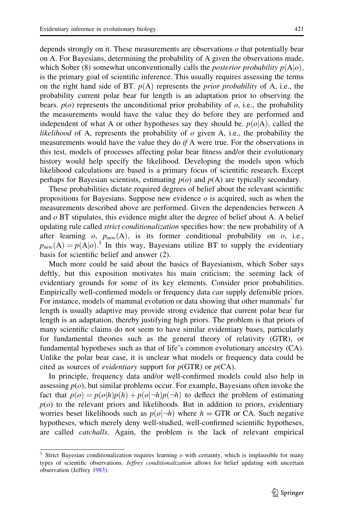depends strongly on it. These measurements are observations  $\sigma$  that potentially bear on A. For Bayesians, determining the probability of A given the observations made, which Sober (8) somewhat unconventionally calls the *posterior probability*  $p(A|o)$ , is the primary goal of scientific inference. This usually requires assessing the terms on the right hand side of BT.  $p(A)$  represents the *prior probability* of A, i.e., the probability current polar bear fur length is an adaptation prior to observing the bears.  $p(o)$  represents the unconditional prior probability of  $o$ , i.e., the probability the measurements would have the value they do before they are performed and independent of what A or other hypotheses say they should be.  $p(o|A)$ , called the likelihood of A, represents the probability of  $o$  given A, i.e., the probability the measurements would have the value they do  $if A$  were true. For the observations in this test, models of processes affecting polar bear fitness and/or their evolutionary history would help specify the likelihood. Developing the models upon which likelihood calculations are based is a primary focus of scientific research. Except perhaps for Bayesian scientists, estimating  $p(o)$  and  $p(A)$  are typically secondary.

These probabilities dictate required degrees of belief about the relevant scientific propositions for Bayesians. Suppose new evidence  $\sigma$  is acquired, such as when the measurements described above are performed. Given the dependencies between A and  $\sigma$  BT stipulates, this evidence might alter the degree of belief about A. A belief updating rule called strict conditionalization specifies how: the new probability of A after learning o,  $p_{new}(A)$ , is its former conditional probability on o, i.e.,  $p_{new}(A) = p(A|o)^{1}$  In this way, Bayesians utilize BT to supply the evidentiary basis for scientific belief and answer (2).

Much more could be said about the basics of Bayesianism, which Sober says deftly, but this exposition motivates his main criticism: the seeming lack of evidentiary grounds for some of its key elements. Consider prior probabilities. Empirically well-confirmed models or frequency data *can* supply defensible priors. For instance, models of mammal evolution or data showing that other mammals' fur length is usually adaptive may provide strong evidence that current polar bear fur length is an adaptation, thereby justifying high priors. The problem is that priors of many scientific claims do not seem to have similar evidentiary bases, particularly for fundamental theories such as the general theory of relativity (GTR), or fundamental hypotheses such as that of life's common evolutionary ancestry (CA). Unlike the polar bear case, it is unclear what models or frequency data could be cited as sources of *evidentiary* support for  $p(GTR)$  or  $p(CA)$ .

In principle, frequency data and/or well-confirmed models could also help in assessing  $p(o)$ , but similar problems occur. For example, Bayesians often invoke the fact that  $p(o) = p(o|h)p(h) + p(o|\neg h)p(\neg h)$  to deflect the problem of estimating  $p(o)$  to the relevant priors and likelihoods. But in addition to priors, evidentiary worries beset likelihoods such as  $p(\theta|\neg h)$  where  $h = GTR$  or CA. Such negative hypotheses, which merely deny well-studied, well-confirmed scientific hypotheses, are called catchalls. Again, the problem is the lack of relevant empirical

<sup>&</sup>lt;sup>1</sup> Strict Bayesian conditionalization requires learning  $o$  with certainty, which is implausible for many types of scientific observations. *Jeffrey conditionalization* allows for belief updating with uncertain observation (Jeffrey [1983](#page-17-0)).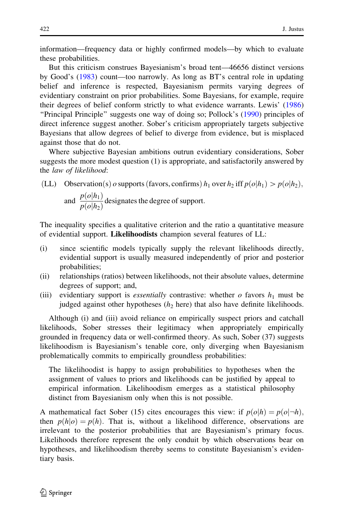information—frequency data or highly confirmed models—by which to evaluate these probabilities.

But this criticism construes Bayesianism's broad tent—46656 distinct versions by Good's [\(1983](#page-17-0)) count—too narrowly. As long as BT's central role in updating belief and inference is respected, Bayesianism permits varying degrees of evidentiary constraint on prior probabilities. Some Bayesians, for example, require their degrees of belief conform strictly to what evidence warrants. Lewis' [\(1986](#page-18-0)) ''Principal Principle'' suggests one way of doing so; Pollock's ([1990\)](#page-18-0) principles of direct inference suggest another. Sober's criticism appropriately targets subjective Bayesians that allow degrees of belief to diverge from evidence, but is misplaced against those that do not.

Where subjective Bayesian ambitions outrun evidentiary considerations, Sober suggests the more modest question (1) is appropriate, and satisfactorily answered by the law of likelihood:

(LL) Observation(s)  $\phi$  supports (favors, confirms)  $h_1$  over  $h_2$  iff  $p(\phi|h_1) > p(\phi|h_2)$ ,

and 
$$
\frac{p(o|h_1)}{p(o|h_2)}
$$
 designates the degree of support.

The inequality specifies a qualitative criterion and the ratio a quantitative measure of evidential support. Likelihoodists champion several features of LL:

- (i) since scientific models typically supply the relevant likelihoods directly, evidential support is usually measured independently of prior and posterior probabilities;
- (ii) relationships (ratios) between likelihoods, not their absolute values, determine degrees of support; and,
- (iii) evidentiary support is *essentially* contrastive: whether  $\sigma$  favors  $h_1$  must be judged against other hypotheses  $(h<sub>2</sub> here)$  that also have definite likelihoods.

Although (i) and (iii) avoid reliance on empirically suspect priors and catchall likelihoods, Sober stresses their legitimacy when appropriately empirically grounded in frequency data or well-confirmed theory. As such, Sober (37) suggests likelihoodism is Bayesianism's tenable core, only diverging when Bayesianism problematically commits to empirically groundless probabilities:

The likelihoodist is happy to assign probabilities to hypotheses when the assignment of values to priors and likelihoods can be justified by appeal to empirical information. Likelihoodism emerges as a statistical philosophy distinct from Bayesianism only when this is not possible.

A mathematical fact Sober (15) cites encourages this view: if  $p(o|h) = p(o|\neg h)$ , then  $p(h|o) = p(h)$ . That is, without a likelihood difference, observations are irrelevant to the posterior probabilities that are Bayesianism's primary focus. Likelihoods therefore represent the only conduit by which observations bear on hypotheses, and likelihoodism thereby seems to constitute Bayesianism's evidentiary basis.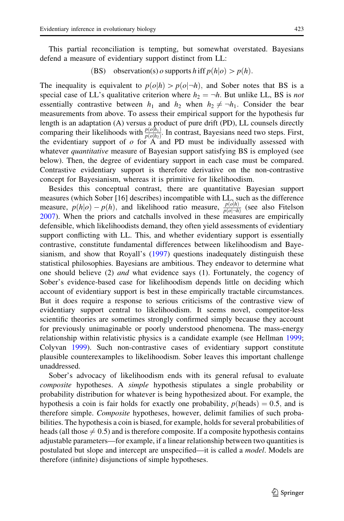This partial reconciliation is tempting, but somewhat overstated. Bayesians defend a measure of evidentiary support distinct from LL:

(BS) observation(s) o supports h iff 
$$
p(h|o) > p(h)
$$
.

The inequality is equivalent to  $p(o|h) > p(o|\neg h)$ , and Sober notes that BS is a special case of LL's qualitative criterion where  $h_2 = \neg h$ . But unlike LL, BS is not essentially contrastive between  $h_1$  and  $h_2$  when  $h_2 \neq \neg h_1$ . Consider the bear measurements from above. To assess their empirical support for the hypothesis fur length is an adaptation (A) versus a product of pure drift (PD), LL counsels directly comparing their likelihoods with  $\frac{p(o|h_1)}{p(o|h_2)}$ . In contrast, Bayesians need two steps. First, the evidentiary support of  $\sigma$  for A and PD must be individually assessed with whatever *quantitative* measure of Bayesian support satisfying BS is employed (see below). Then, the degree of evidentiary support in each case must be compared. Contrastive evidentiary support is therefore derivative on the non-contrastive concept for Bayesianism, whereas it is primitive for likelihoodism.

Besides this conceptual contrast, there are quantitative Bayesian support measures (which Sober [16] describes) incompatible with LL, such as the difference measure,  $p(h|o) - p(h)$ , and likelihood ratio measure,  $\frac{p(o|h)}{p(o|h)}$  (see also Fitelson [2007\)](#page-17-0). When the priors and catchalls involved in these measures are empirically defensible, which likelihoodists demand, they often yield assessments of evidentiary support conflicting with LL. This, and whether evidentiary support is essentially contrastive, constitute fundamental differences between likelihoodism and Baye-sianism, and show that Royall's ([1997\)](#page-18-0) questions inadequately distinguish these statistical philosophies. Bayesians are ambitious. They endeavor to determine what one should believe (2) and what evidence says (1). Fortunately, the cogency of Sober's evidence-based case for likelihoodism depends little on deciding which account of evidentiary support is best in these empirically tractable circumstances. But it does require a response to serious criticisms of the contrastive view of evidentiary support central to likelihoodism. It seems novel, competitor-less scientific theories are sometimes strongly confirmed simply because they account for previously unimaginable or poorly understood phenomena. The mass-energy relationship within relativistic physics is a candidate example (see Hellman [1999;](#page-17-0) Colyvan [1999](#page-17-0)). Such non-contrastive cases of evidentiary support constitute plausible counterexamples to likelihoodism. Sober leaves this important challenge unaddressed.

Sober's advocacy of likelihoodism ends with its general refusal to evaluate composite hypotheses. A simple hypothesis stipulates a single probability or probability distribution for whatever is being hypothesized about. For example, the hypothesis a coin is fair holds for exactly one probability,  $p(\text{heads}) = 0.5$ , and is therefore simple. Composite hypotheses, however, delimit families of such probabilities. The hypothesis a coin is biased, for example, holds for several probabilities of heads (all those  $\neq$  0.5) and is therefore composite. If a composite hypothesis contains adjustable parameters—for example, if a linear relationship between two quantities is postulated but slope and intercept are unspecified—it is called a model. Models are therefore (infinite) disjunctions of simple hypotheses.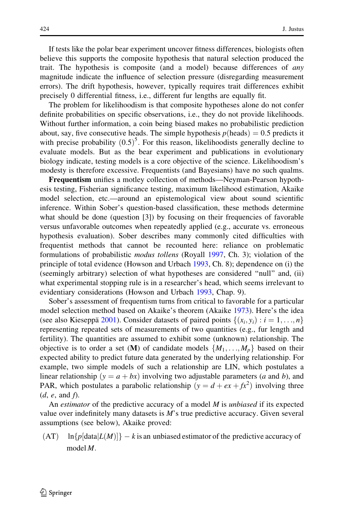If tests like the polar bear experiment uncover fitness differences, biologists often believe this supports the composite hypothesis that natural selection produced the trait. The hypothesis is composite (and a model) because differences of any magnitude indicate the influence of selection pressure (disregarding measurement errors). The drift hypothesis, however, typically requires trait differences exhibit precisely 0 differential fitness, i.e., different fur lengths are equally fit.

The problem for likelihoodism is that composite hypotheses alone do not confer definite probabilities on specific observations, i.e., they do not provide likelihoods. Without further information, a coin being biased makes no probabilistic prediction about, say, five consecutive heads. The simple hypothesis  $p$ (heads) = 0.5 predicts it with precise probability  $(0.5)^5$ . For this reason, likelihoodists generally decline to evaluate models. But as the bear experiment and publications in evolutionary biology indicate, testing models is a core objective of the science. Likelihoodism's modesty is therefore excessive. Frequentists (and Bayesians) have no such qualms.

Frequentism unifies a motley collection of methods—Neyman-Pearson hypothesis testing, Fisherian significance testing, maximum likelihood estimation, Akaike model selection, etc.—around an epistemological view about sound scientific inference. Within Sober's question-based classification, these methods determine what should be done (question [3]) by focusing on their frequencies of favorable versus unfavorable outcomes when repeatedly applied (e.g., accurate vs. erroneous hypothesis evaluation). Sober describes many commonly cited difficulties with frequentist methods that cannot be recounted here: reliance on problematic formulations of probabilistic modus tollens (Royall [1997,](#page-18-0) Ch. 3); violation of the principle of total evidence (Howson and Urbach [1993,](#page-17-0) Ch. 8); dependence on (i) the (seemingly arbitrary) selection of what hypotheses are considered ''null'' and, (ii) what experimental stopping rule is in a researcher's head, which seems irrelevant to evidentiary considerations (Howson and Urbach [1993,](#page-17-0) Chap. 9).

Sober's assessment of frequentism turns from critical to favorable for a particular model selection method based on Akaike's theorem (Akaike [1973](#page-17-0)). Here's the idea (see also Kieseppä [2001](#page-17-0)). Consider datasets of paired points  $\{(x_i, y_i) : i = 1, \ldots, n\}$ representing repeated sets of measurements of two quantities (e.g., fur length and fertility). The quantities are assumed to exhibit some (unknown) relationship. The objective is to order a set (M) of candidate models  $\{M_1, \ldots, M_n\}$  based on their expected ability to predict future data generated by the underlying relationship. For example, two simple models of such a relationship are LIN, which postulates a linear relationship  $(y = a + bx)$  involving two adjustable parameters (a and b), and PAR, which postulates a parabolic relationship  $(y = d + ex + fx^2)$  involving three  $(d, e, \text{ and } f).$ 

An *estimator* of the predictive accuracy of a model M is *unbiased* if its expected value over indefinitely many datasets is M's true predictive accuracy. Given several assumptions (see below), Akaike proved:

 $(AT)$  ln $\{p[data|L(M)]\} - k$  is an unbiased estimator of the predictive accuracy of model M: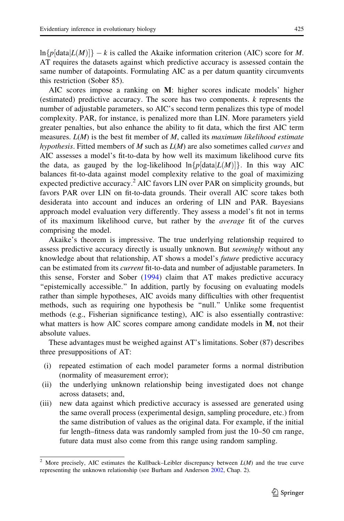$\ln\{p | \text{data}|L(M)|\} - k$  is called the Akaike information criterion (AIC) score for M. AT requires the datasets against which predictive accuracy is assessed contain the same number of datapoints. Formulating AIC as a per datum quantity circumvents this restriction (Sober 85).

AIC scores impose a ranking on M: higher scores indicate models' higher (estimated) predictive accuracy. The score has two components. k represents the number of adjustable parameters, so AIC's second term penalizes this type of model complexity. PAR, for instance, is penalized more than LIN. More parameters yield greater penalties, but also enhance the ability to fit data, which the first AIC term measures.  $L(M)$  is the best fit member of  $M$ , called its maximum likelihood estimate hypothesis. Fitted members of  $M$  such as  $L(M)$  are also sometimes called *curves* and AIC assesses a model's fit-to-data by how well its maximum likelihood curve fits the data, as gauged by the log-likelihood  $\ln\{p[\text{data}|L(M)]\}$ . In this way AIC balances fit-to-data against model complexity relative to the goal of maximizing expected predictive accuracy.<sup>2</sup> AIC favors LIN over PAR on simplicity grounds, but favors PAR over LIN on fit-to-data grounds. Their overall AIC score takes both desiderata into account and induces an ordering of LIN and PAR. Bayesians approach model evaluation very differently. They assess a model's fit not in terms of its maximum likelihood curve, but rather by the average fit of the curves comprising the model.

Akaike's theorem is impressive. The true underlying relationship required to assess predictive accuracy directly is usually unknown. But *seemingly* without any knowledge about that relationship, AT shows a model's future predictive accuracy can be estimated from its current fit-to-data and number of adjustable parameters. In this sense, Forster and Sober ([1994](#page-17-0)) claim that AT makes predictive accuracy "epistemically accessible." In addition, partly by focusing on evaluating models rather than simple hypotheses, AIC avoids many difficulties with other frequentist methods, such as requiring one hypothesis be ''null.'' Unlike some frequentist methods (e.g., Fisherian significance testing), AIC is also essentially contrastive: what matters is how AIC scores compare among candidate models in **M**, not their absolute values.

These advantages must be weighed against AT's limitations. Sober (87) describes three presuppositions of AT:

- (i) repeated estimation of each model parameter forms a normal distribution (normality of measurement error);
- (ii) the underlying unknown relationship being investigated does not change across datasets; and,
- (iii) new data against which predictive accuracy is assessed are generated using the same overall process (experimental design, sampling procedure, etc.) from the same distribution of values as the original data. For example, if the initial fur length–fitness data was randomly sampled from just the 10–50 cm range, future data must also come from this range using random sampling.

<sup>&</sup>lt;sup>2</sup> More precisely, AIC estimates the Kullback–Leibler discrepancy between  $L(M)$  and the true curve representing the unknown relationship (see Burham and Anderson [2002](#page-17-0), Chap. 2).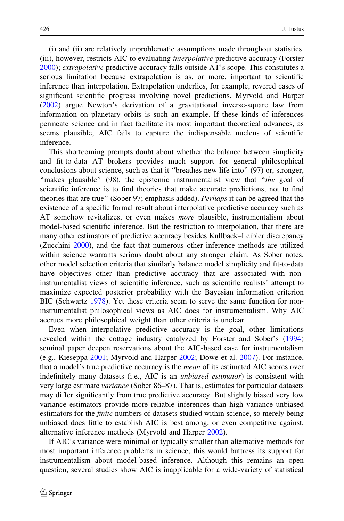(i) and (ii) are relatively unproblematic assumptions made throughout statistics. (iii), however, restricts AIC to evaluating interpolative predictive accuracy (Forster [2000\)](#page-17-0); *extrapolative* predictive accuracy falls outside AT's scope. This constitutes a serious limitation because extrapolation is as, or more, important to scientific inference than interpolation. Extrapolation underlies, for example, revered cases of significant scientific progress involving novel predictions. Myrvold and Harper [\(2002](#page-18-0)) argue Newton's derivation of a gravitational inverse-square law from information on planetary orbits is such an example. If these kinds of inferences permeate science and in fact facilitate its most important theoretical advances, as seems plausible, AIC fails to capture the indispensable nucleus of scientific inference.

This shortcoming prompts doubt about whether the balance between simplicity and fit-to-data AT brokers provides much support for general philosophical conclusions about science, such as that it ''breathes new life into'' (97) or, stronger, "makes plausible" (98), the epistemic instrumentalist view that "the goal of scientific inference is to find theories that make accurate predictions, not to find theories that are true'' (Sober 97; emphasis added). Perhaps it can be agreed that the existence of a specific formal result about interpolative predictive accuracy such as AT somehow revitalizes, or even makes *more* plausible, instrumentalism about model-based scientific inference. But the restriction to interpolation, that there are many other estimators of predictive accuracy besides Kullback–Leibler discrepancy (Zucchini [2000\)](#page-18-0), and the fact that numerous other inference methods are utilized within science warrants serious doubt about any stronger claim. As Sober notes, other model selection criteria that similarly balance model simplicity and fit-to-data have objectives other than predictive accuracy that are associated with noninstrumentalist views of scientific inference, such as scientific realists' attempt to maximize expected posterior probability with the Bayesian information criterion BIC (Schwartz [1978](#page-18-0)). Yet these criteria seem to serve the same function for noninstrumentalist philosophical views as AIC does for instrumentalism. Why AIC accrues more philosophical weight than other criteria is unclear.

Even when interpolative predictive accuracy is the goal, other limitations revealed within the cottage industry catalyzed by Forster and Sober's [\(1994](#page-17-0)) seminal paper deepen reservations about the AIC-based case for instrumentalism (e.g., Kieseppa  $2001$ ; Myrvold and Harper  $2002$ ; Dowe et al.  $2007$ ). For instance, that a model's true predictive accuracy is the mean of its estimated AIC scores over indefinitely many datasets (i.e., AIC is an *unbiased estimator*) is consistent with very large estimate variance (Sober 86–87). That is, estimates for particular datasets may differ significantly from true predictive accuracy. But slightly biased very low variance estimators provide more reliable inferences than high variance unbiased estimators for the *finite* numbers of datasets studied within science, so merely being unbiased does little to establish AIC is best among, or even competitive against, alternative inference methods (Myrvold and Harper [2002](#page-18-0)).

If AIC's variance were minimal or typically smaller than alternative methods for most important inference problems in science, this would buttress its support for instrumentalism about model-based inference. Although this remains an open question, several studies show AIC is inapplicable for a wide-variety of statistical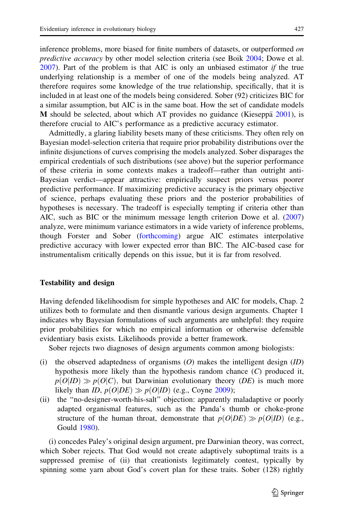inference problems, more biased for finite numbers of datasets, or outperformed on predictive accuracy by other model selection criteria (see Boik [2004](#page-17-0); Dowe et al.  $2007$ ). Part of the problem is that AIC is only an unbiased estimator if the true underlying relationship is a member of one of the models being analyzed. AT therefore requires some knowledge of the true relationship, specifically, that it is included in at least one of the models being considered. Sober (92) criticizes BIC for a similar assumption, but AIC is in the same boat. How the set of candidate models M should be selected, about which AT provides no guidance (Kieseppa  $2001$ ), is therefore crucial to AIC's performance as a predictive accuracy estimator.

Admittedly, a glaring liability besets many of these criticisms. They often rely on Bayesian model-selection criteria that require prior probability distributions over the infinite disjunctions of curves comprising the models analyzed. Sober disparages the empirical credentials of such distributions (see above) but the superior performance of these criteria in some contexts makes a tradeoff—rather than outright anti-Bayesian verdict—appear attractive: empirically suspect priors versus poorer predictive performance. If maximizing predictive accuracy is the primary objective of science, perhaps evaluating these priors and the posterior probabilities of hypotheses is necessary. The tradeoff is especially tempting if criteria other than AIC, such as BIC or the minimum message length criterion Dowe et al. [\(2007](#page-17-0)) analyze, were minimum variance estimators in a wide variety of inference problems, though Forster and Sober [\(forthcoming\)](#page-17-0) argue AIC estimates interpolative predictive accuracy with lower expected error than BIC. The AIC-based case for instrumentalism critically depends on this issue, but it is far from resolved.

#### Testability and design

Having defended likelihoodism for simple hypotheses and AIC for models, Chap. 2 utilizes both to formulate and then dismantle various design arguments. Chapter 1 indicates why Bayesian formulations of such arguments are unhelpful: they require prior probabilities for which no empirical information or otherwise defensible evidentiary basis exists. Likelihoods provide a better framework.

Sober rejects two diagnoses of design arguments common among biologists:

- (i) the observed adaptedness of organisms  $(O)$  makes the intelligent design  $(ID)$ hypothesis more likely than the hypothesis random chance (C) produced it,  $p(\theta|ID) \gg p(\theta|C)$ , but Darwinian evolutionary theory (*DE*) is much more likely than ID,  $p(O|DE) \gg p(O|ID)$  (e.g., Coyne [2009\)](#page-17-0);
- (ii) the ''no-designer-worth-his-salt'' objection: apparently maladaptive or poorly adapted organismal features, such as the Panda's thumb or choke-prone structure of the human throat, demonstrate that  $p(\text{O}|DE) \gg p(\text{O}|ID)$  (e.g., Gould [1980](#page-17-0)).

(i) concedes Paley's original design argument, pre Darwinian theory, was correct, which Sober rejects. That God would not create adaptively suboptimal traits is a suppressed premise of (ii) that creationists legitimately contest, typically by spinning some yarn about God's covert plan for these traits. Sober (128) rightly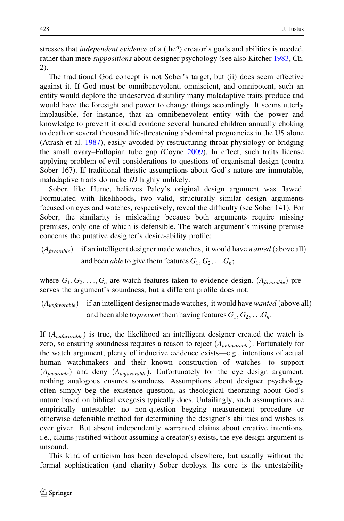stresses that *independent evidence* of a (the?) creator's goals and abilities is needed, rather than mere *suppositions* about designer psychology (see also Kitcher [1983](#page-18-0), Ch. 2).

The traditional God concept is not Sober's target, but (ii) does seem effective against it. If God must be omnibenevolent, omniscient, and omnipotent, such an entity would deplore the undeserved disutility many maladaptive traits produce and would have the foresight and power to change things accordingly. It seems utterly implausible, for instance, that an omnibenevolent entity with the power and knowledge to prevent it could condone several hundred children annually choking to death or several thousand life-threatening abdominal pregnancies in the US alone (Atrash et al. [1987](#page-17-0)), easily avoided by restructuring throat physiology or bridging the small ovary–Fallopian tube gap (Coyne [2009](#page-17-0)). In effect, such traits license applying problem-of-evil considerations to questions of organismal design (contra Sober 167). If traditional theistic assumptions about God's nature are immutable, maladaptive traits do make ID highly unlikely.

Sober, like Hume, believes Paley's original design argument was flawed. Formulated with likelihoods, two valid, structurally similar design arguments focused on eyes and watches, respectively, reveal the difficulty (see Sober 141). For Sober, the similarity is misleading because both arguments require missing premises, only one of which is defensible. The watch argument's missing premise concerns the putative designer's desire-ability profile:

 $(A<sub>favorable</sub>)$  if an intelligent designer made watches, it would have wanted (above all) and been *able* to give them features  $G_1, G_2, \ldots, G_n$ ;

where  $G_1, G_2, \ldots, G_n$  are watch features taken to evidence design.  $(A_{\text{favorable}})$  preserves the argument's soundness, but a different profile does not:

 $(A_{unfavorable})$  if an intelligent designer made watches, it would have wanted (above all) and been able to *prevent* them having features  $G_1, G_2, \ldots, G_n$ .

If  $(A_{unfavorable})$  is true, the likelihood an intelligent designer created the watch is zero, so ensuring soundness requires a reason to reject  $(A_{unfavorable})$ . Fortunately for the watch argument, plenty of inductive evidence exists—e.g., intentions of actual human watchmakers and their known construction of watches—to support  $(A_{\text{favorable}})$  and deny  $(A_{\text{unfavorable}})$ . Unfortunately for the eye design argument, nothing analogous ensures soundness. Assumptions about designer psychology often simply beg the existence question, as theological theorizing about God's nature based on biblical exegesis typically does. Unfailingly, such assumptions are empirically untestable: no non-question begging measurement procedure or otherwise defensible method for determining the designer's abilities and wishes is ever given. But absent independently warranted claims about creative intentions, i.e., claims justified without assuming a creator(s) exists, the eye design argument is unsound.

This kind of criticism has been developed elsewhere, but usually without the formal sophistication (and charity) Sober deploys. Its core is the untestability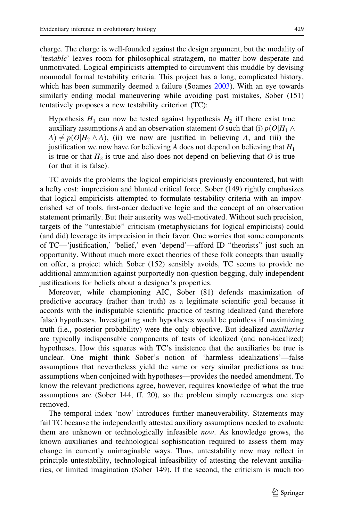charge. The charge is well-founded against the design argument, but the modality of 'testable' leaves room for philosophical stratagem, no matter how desperate and unmotivated. Logical empiricists attempted to circumvent this muddle by devising nonmodal formal testability criteria. This project has a long, complicated history, which has been summarily deemed a failure (Soames [2003\)](#page-18-0). With an eye towards similarly ending modal maneuvering while avoiding past mistakes, Sober (151) tentatively proposes a new testability criterion (TC):

Hypothesis  $H_1$  can now be tested against hypothesis  $H_2$  iff there exist true auxiliary assumptions A and an observation statement O such that (i)  $p(O|H_1 \wedge$  $A \neq p(O|H_2 \wedge A)$ , (ii) we now are justified in believing A, and (iii) the justification we now have for believing A does not depend on believing that  $H_1$ is true or that  $H_2$  is true and also does not depend on believing that O is true (or that it is false).

TC avoids the problems the logical empiricists previously encountered, but with a hefty cost: imprecision and blunted critical force. Sober (149) rightly emphasizes that logical empiricists attempted to formulate testability criteria with an impoverished set of tools, first-order deductive logic and the concept of an observation statement primarily. But their austerity was well-motivated. Without such precision, targets of the ''untestable'' criticism (metaphysicians for logical empiricists) could (and did) leverage its imprecision in their favor. One worries that some components of TC—'justification,' 'belief,' even 'depend'—afford ID ''theorists'' just such an opportunity. Without much more exact theories of these folk concepts than usually on offer, a project which Sober (152) sensibly avoids, TC seems to provide no additional ammunition against purportedly non-question begging, duly independent justifications for beliefs about a designer's properties.

Moreover, while championing AIC, Sober (81) defends maximization of predictive accuracy (rather than truth) as a legitimate scientific goal because it accords with the indisputable scientific practice of testing idealized (and therefore false) hypotheses. Investigating such hypotheses would be pointless if maximizing truth (i.e., posterior probability) were the only objective. But idealized auxiliaries are typically indispensable components of tests of idealized (and non-idealized) hypotheses. How this squares with TC's insistence that the auxiliaries be true is unclear. One might think Sober's notion of 'harmless idealizations'—false assumptions that nevertheless yield the same or very similar predictions as true assumptions when conjoined with hypotheses—provides the needed amendment. To know the relevant predictions agree, however, requires knowledge of what the true assumptions are (Sober 144, ff. 20), so the problem simply reemerges one step removed.

The temporal index 'now' introduces further maneuverability. Statements may fail TC because the independently attested auxiliary assumptions needed to evaluate them are unknown or technologically infeasible now. As knowledge grows, the known auxiliaries and technological sophistication required to assess them may change in currently unimaginable ways. Thus, untestability now may reflect in principle untestability, technological infeasibility of attesting the relevant auxiliaries, or limited imagination (Sober 149). If the second, the criticism is much too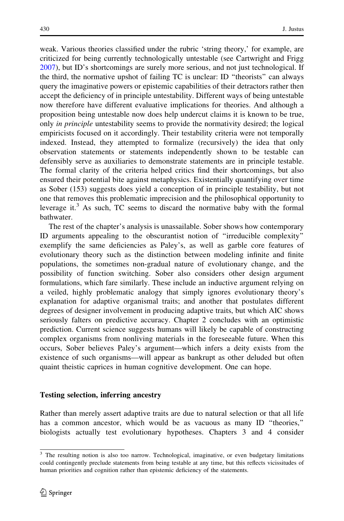weak. Various theories classified under the rubric 'string theory,' for example, are criticized for being currently technologically untestable (see Cartwright and Frigg [2007\)](#page-17-0), but ID's shortcomings are surely more serious, and not just technological. If the third, the normative upshot of failing TC is unclear: ID ''theorists'' can always query the imaginative powers or epistemic capabilities of their detractors rather then accept the deficiency of in principle untestability. Different ways of being untestable now therefore have different evaluative implications for theories. And although a proposition being untestable now does help undercut claims it is known to be true, only in principle untestability seems to provide the normativity desired; the logical empiricists focused on it accordingly. Their testability criteria were not temporally indexed. Instead, they attempted to formalize (recursively) the idea that only observation statements or statements independently shown to be testable can defensibly serve as auxiliaries to demonstrate statements are in principle testable. The formal clarity of the criteria helped critics find their shortcomings, but also ensured their potential bite against metaphysics. Existentially quantifying over time as Sober (153) suggests does yield a conception of in principle testability, but not one that removes this problematic imprecision and the philosophical opportunity to leverage it.<sup>3</sup> As such, TC seems to discard the normative baby with the formal bathwater.

The rest of the chapter's analysis is unassailable. Sober shows how contemporary ID arguments appealing to the obscurantist notion of ''irreducible complexity'' exemplify the same deficiencies as Paley's, as well as garble core features of evolutionary theory such as the distinction between modeling infinite and finite populations, the sometimes non-gradual nature of evolutionary change, and the possibility of function switching. Sober also considers other design argument formulations, which fare similarly. These include an inductive argument relying on a veiled, highly problematic analogy that simply ignores evolutionary theory's explanation for adaptive organismal traits; and another that postulates different degrees of designer involvement in producing adaptive traits, but which AIC shows seriously falters on predictive accuracy. Chapter 2 concludes with an optimistic prediction. Current science suggests humans will likely be capable of constructing complex organisms from nonliving materials in the foreseeable future. When this occurs, Sober believes Paley's argument—which infers a deity exists from the existence of such organisms—will appear as bankrupt as other deluded but often quaint theistic caprices in human cognitive development. One can hope.

#### Testing selection, inferring ancestry

Rather than merely assert adaptive traits are due to natural selection or that all life has a common ancestor, which would be as vacuous as many ID ''theories,'' biologists actually test evolutionary hypotheses. Chapters 3 and 4 consider

<sup>&</sup>lt;sup>3</sup> The resulting notion is also too narrow. Technological, imaginative, or even budgetary limitations could contingently preclude statements from being testable at any time, but this reflects vicissitudes of human priorities and cognition rather than epistemic deficiency of the statements.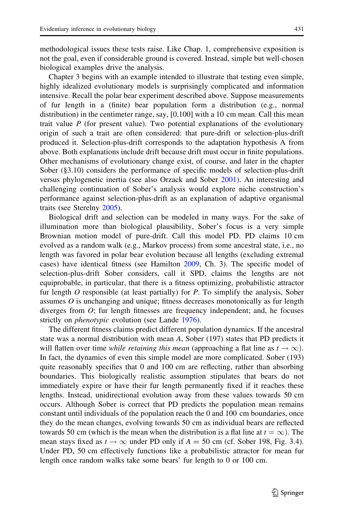methodological issues these tests raise. Like Chap. 1, comprehensive exposition is not the goal, even if considerable ground is covered. Instead, simple but well-chosen biological examples drive the analysis.

Chapter 3 begins with an example intended to illustrate that testing even simple, highly idealized evolutionary models is surprisingly complicated and information intensive. Recall the polar bear experiment described above. Suppose measurements of fur length in a (finite) bear population form a distribution (e.g., normal distribution) in the centimeter range, say, [0,100] with a 10 cm mean. Call this mean trait value  $P$  (for present value). Two potential explanations of the evolutionary origin of such a trait are often considered: that pure-drift or selection-plus-drift produced it. Selection-plus-drift corresponds to the adaptation hypothesis A from above. Both explanations include drift because drift must occur in finite populations. Other mechanisms of evolutionary change exist, of course, and later in the chapter Sober (§3.10) considers the performance of specific models of selection-plus-drift versus phylogenetic inertia (see also Orzack and Sober [2001](#page-18-0)). An interesting and challenging continuation of Sober's analysis would explore niche construction's performance against selection-plus-drift as an explanation of adaptive organismal traits (see Sterelny [2005\)](#page-18-0).

Biological drift and selection can be modeled in many ways. For the sake of illumination more than biological plausibility, Sober's focus is a very simple Brownian motion model of pure-drift. Call this model PD. PD claims 10 cm evolved as a random walk (e.g., Markov process) from some ancestral state, i.e., no length was favored in polar bear evolution because all lengths (excluding extremal cases) have identical fitness (see Hamilton [2009,](#page-17-0) Ch. 3). The specific model of selection-plus-drift Sober considers, call it SPD, claims the lengths are not equiprobable, in particular, that there is a fitness optimizing, probabilistic attractor fur length  $O$  responsible (at least partially) for  $P$ . To simplify the analysis, Sober assumes  $O$  is unchanging and unique; fitness decreases monotonically as fur length diverges from O; fur length fitnesses are frequency independent; and, he focuses strictly on *phenotypic* evolution (see Lande [1976\)](#page-18-0).

The different fitness claims predict different population dynamics. If the ancestral state was a normal distribution with mean A, Sober (197) states that PD predicts it will flatten over time *while retaining this mean* (approaching a flat line as  $t \to \infty$ ). In fact, the dynamics of even this simple model are more complicated. Sober (193) quite reasonably specifies that 0 and 100 cm are reflecting, rather than absorbing boundaries. This biologically realistic assumption stipulates that bears do not immediately expire or have their fur length permanently fixed if it reaches these lengths. Instead, unidirectional evolution away from these values towards 50 cm occurs. Although Sober is correct that PD predicts the population mean remains constant until individuals of the population reach the 0 and 100 cm boundaries, once they do the mean changes, evolving towards 50 cm as individual bears are reflected towards 50 cm (which is the mean when the distribution is a flat line at  $t = \infty$ ). The mean stays fixed as  $t \to \infty$  under PD only if  $A = 50$  cm (cf. Sober 198, Fig. 3.4). Under PD, 50 cm effectively functions like a probabilistic attractor for mean fur length once random walks take some bears' fur length to 0 or 100 cm.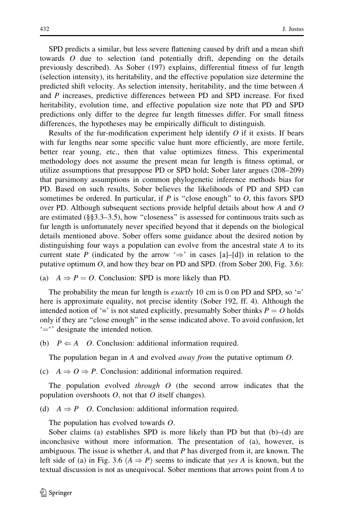SPD predicts a similar, but less severe flattening caused by drift and a mean shift towards O due to selection (and potentially drift, depending on the details previously described). As Sober (197) explains, differential fitness of fur length (selection intensity), its heritability, and the effective population size determine the predicted shift velocity. As selection intensity, heritability, and the time between A and P increases, predictive differences between PD and SPD increase. For fixed heritability, evolution time, and effective population size note that PD and SPD predictions only differ to the degree fur length fitnesses differ. For small fitness differences, the hypotheses may be empirically difficult to distinguish.

Results of the fur-modification experiment help identify  $O$  if it exists. If bears with fur lengths near some specific value hunt more efficiently, are more fertile, better rear young, etc., then that value optimizes fitness. This experimental methodology does not assume the present mean fur length is fitness optimal, or utilize assumptions that presuppose PD or SPD hold; Sober later argues (208–209) that parsimony assumptions in common phylogenetic inference methods bias for PD. Based on such results, Sober believes the likelihoods of PD and SPD can sometimes be ordered. In particular, if  $P$  is "close enough" to  $O$ , this favors SPD over PD. Although subsequent sections provide helpful details about how A and  $O$ are estimated (§§3.3–3.5), how ''closeness'' is assessed for continuous traits such as fur length is unfortunately never specified beyond that it depends on the biological details mentioned above. Sober offers some guidance about the desired notion by distinguishing four ways a population can evolve from the ancestral state A to its current state P (indicated by the arrow ' $\Rightarrow$ ' in cases [a]–[d]) in relation to the putative optimum  $O$ , and how they bear on PD and SPD. (from Sober 200, Fig. 3.6):

(a)  $A \Rightarrow P = O$ . Conclusion: SPD is more likely than PD.

The probability the mean fur length is *exactly* 10 cm is 0 on PD and SPD, so  $\dot{ }$ = here is approximate equality, not precise identity (Sober 192, ff. 4). Although the intended notion of '=' is not stated explicitly, presumably Sober thinks  $P = O$  holds only if they are ''close enough'' in the sense indicated above. To avoid confusion, let  $'$ =\*' designate the intended notion.

(b)  $P \Leftarrow A$  O. Conclusion: additional information required.

The population began in A and evolved away from the putative optimum O.

(c)  $A \Rightarrow O \Rightarrow P$ . Conclusion: additional information required.

The population evolved *through O* (the second arrow indicates that the population overshoots  $O$ , not that  $O$  itself changes).

(d)  $A \Rightarrow P$  O. Conclusion: additional information required.

The population has evolved towards O.

Sober claims (a) establishes SPD is more likely than PD but that (b)–(d) are inconclusive without more information. The presentation of (a), however, is ambiguous. The issue is whether  $A$ , and that  $P$  has diverged from it, are known. The left side of (a) in Fig. 3.6  $(A \Rightarrow P)$  seems to indicate that yes A is known, but the textual discussion is not as unequivocal. Sober mentions that arrows point from A to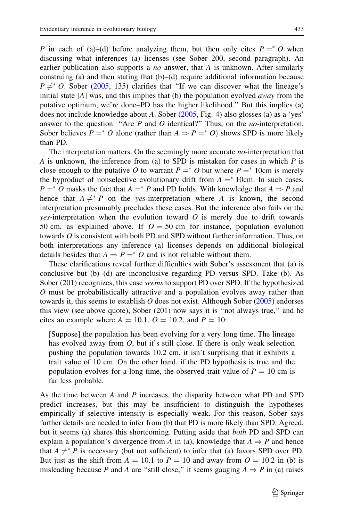P in each of (a)–(d) before analyzing them, but then only cites  $P = ^* O$  when discussing what inferences (a) licenses (see Sober 200, second paragraph). An earlier publication also supports a *no* answer, that  $A$  is unknown. After similarly construing (a) and then stating that  $(b)$ –(d) require additional information because  $P \neq^* O$ , Sober [\(2005](#page-18-0), 135) clarifies that "If we can discover what the lineage's initial state  $[A]$  was, and this implies that (b) the population evolved *away* from the putative optimum, we're done–PD has the higher likelihood.'' But this implies (a) does not include knowledge about A. Sober  $(2005, Fig. 4)$  $(2005, Fig. 4)$  also glosses (a) as a 'yes' answer to the question: "Are  $P$  and  $O$  identical?" Thus, on the *no*-interpretation, Sober believes  $P =^* O$  alone (rather than  $A \Rightarrow P =^* O$ ) shows SPD is more likely than PD.

The interpretation matters. On the seemingly more accurate no-interpretation that A is unknown, the inference from (a) to SPD is mistaken for cases in which  $P$  is close enough to the putative O to warrant  $P =^* O$  but where  $P =^* 10$ cm is merely the byproduct of nonselective evolutionary drift from  $A =$ <sup>\*</sup> 10cm. In such cases,  $P =^* O$  masks the fact that  $A =^* P$  and PD holds. With knowledge that  $A \Rightarrow P$  and hence that  $A \neq^* P$  on the yes-interpretation where A is known, the second interpretation presumably precludes these cases. But the inference also fails on the yes-interpretation when the evolution toward  $O$  is merely due to drift towards 50 cm, as explained above. If  $O = 50$  cm for instance, population evolution towards  $\hat{O}$  is consistent with both PD and SPD without further information. Thus, on both interpretations any inference (a) licenses depends on additional biological details besides that  $A \Rightarrow P =^* O$  and is not reliable without them.

These clarifications reveal further difficulties with Sober's assessment that (a) is conclusive but  $(b)$ – $(d)$  are inconclusive regarding PD versus SPD. Take  $(b)$ . As Sober (201) recognizes, this case *seems* to support PD over SPD. If the hypothesized O must be probabilistically attractive and a population evolves away rather than towards it, this seems to establish  $O$  does not exist. Although Sober ([2005\)](#page-18-0) endorses this view (see above quote), Sober (201) now says it is ''not always true,'' and he cites an example where  $A = 10.1$ ,  $O = 10.2$ , and  $P = 10$ :

[Suppose] the population has been evolving for a very long time. The lineage has evolved away from  $O$ , but it's still close. If there is only weak selection pushing the population towards 10.2 cm, it isn't surprising that it exhibits a trait value of 10 cm. On the other hand, if the PD hypothesis is true and the population evolves for a long time, the observed trait value of  $P = 10$  cm is far less probable.

As the time between A and P increases, the disparity between what PD and SPD predict increases, but this may be insufficient to distinguish the hypotheses empirically if selective intensity is especially weak. For this reason, Sober says further details are needed to infer from (b) that PD is more likely than SPD. Agreed, but it seems (a) shares this shortcoming. Putting aside that both PD and SPD can explain a population's divergence from A in (a), knowledge that  $A \Rightarrow P$  and hence that  $A \neq^* P$  is necessary (but not sufficient) to infer that (a) favors SPD over PD. But just as the shift from  $A = 10.1$  to  $P = 10$  and away from  $Q = 10.2$  in (b) is misleading because P and A are "still close," it seems gauging  $A \Rightarrow P$  in (a) raises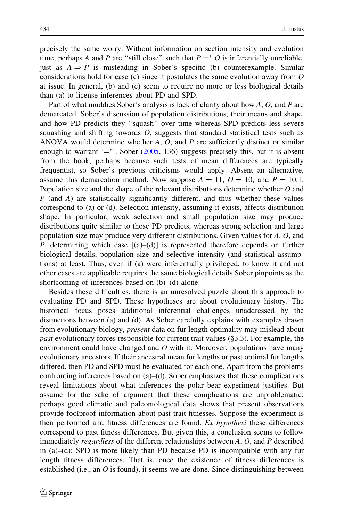precisely the same worry. Without information on section intensity and evolution time, perhaps A and P are "still close" such that  $P = \{0\}$  is inferentially unreliable, just as  $A \Rightarrow P$  is misleading in Sober's specific (b) counterexample. Similar considerations hold for case (c) since it postulates the same evolution away from O at issue. In general, (b) and (c) seem to require no more or less biological details than (a) to license inferences about PD and SPD.

Part of what muddies Sober's analysis is lack of clarity about how A, O, and P are demarcated. Sober's discussion of population distributions, their means and shape, and how PD predicts they ''squash'' over time whereas SPD predicts less severe squashing and shifting towards  $O$ , suggests that standard statistical tests such as ANOVA would determine whether  $A$ ,  $O$ , and  $P$  are sufficiently distinct or similar enough to warrant ' $\equiv$ ". Sober [\(2005](#page-18-0), 136) suggests precisely this, but it is absent from the book, perhaps because such tests of mean differences are typically frequentist, so Sober's previous criticisms would apply. Absent an alternative, assume this demarcation method. Now suppose  $A = 11$ ,  $O = 10$ , and  $P = 10.1$ . Population size and the shape of the relevant distributions determine whether O and  $P$  (and  $\overline{A}$ ) are statistically significantly different, and thus whether these values correspond to (a) or (d). Selection intensity, assuming it exists, affects distribution shape. In particular, weak selection and small population size may produce distributions quite similar to those PD predicts, whereas strong selection and large population size may produce very different distributions. Given values for A, O, and P, determining which case  $[(a)-(d)]$  is represented therefore depends on further biological details, population size and selective intensity (and statistical assumptions) at least. Thus, even if (a) were inferentially privileged, to know it and not other cases are applicable requires the same biological details Sober pinpoints as the shortcoming of inferences based on (b)–(d) alone.

Besides these difficulties, there is an unresolved puzzle about this approach to evaluating PD and SPD. These hypotheses are about evolutionary history. The historical focus poses additional inferential challenges unaddressed by the distinctions between (a) and (d). As Sober carefully explains with examples drawn from evolutionary biology, present data on fur length optimality may mislead about past evolutionary forces responsible for current trait values (§3.3). For example, the environment could have changed and  $O$  with it. Moreover, populations have many evolutionary ancestors. If their ancestral mean fur lengths or past optimal fur lengths differed, then PD and SPD must be evaluated for each one. Apart from the problems confronting inferences based on  $(a)$ – $(d)$ , Sober emphasizes that these complications reveal limitations about what inferences the polar bear experiment justifies. But assume for the sake of argument that these complications are unproblematic; perhaps good climatic and paleontological data shows that present observations provide foolproof information about past trait fitnesses. Suppose the experiment is then performed and fitness differences are found. Ex hypothesi these differences correspond to past fitness differences. But given this, a conclusion seems to follow immediately *regardless* of the different relationships between  $A$ ,  $O$ , and  $P$  described in (a)–(d): SPD is more likely than PD because PD is incompatible with any fur length fitness differences. That is, once the existence of fitness differences is established (i.e., an  $O$  is found), it seems we are done. Since distinguishing between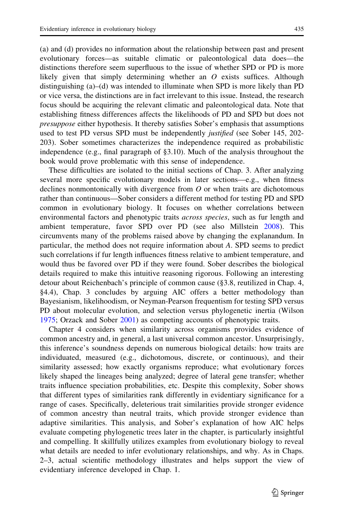(a) and (d) provides no information about the relationship between past and present evolutionary forces—as suitable climatic or paleontological data does—the distinctions therefore seem superfluous to the issue of whether SPD or PD is more likely given that simply determining whether an  $O$  exists suffices. Although distinguishing (a)–(d) was intended to illuminate when SPD is more likely than PD or vice versa, the distinctions are in fact irrelevant to this issue. Instead, the research focus should be acquiring the relevant climatic and paleontological data. Note that establishing fitness differences affects the likelihoods of PD and SPD but does not presuppose either hypothesis. It thereby satisfies Sober's emphasis that assumptions used to test PD versus SPD must be independently *justified* (see Sober 145, 202-203). Sober sometimes characterizes the independence required as probabilistic independence (e.g., final paragraph of §3.10). Much of the analysis throughout the book would prove problematic with this sense of independence.

These difficulties are isolated to the initial sections of Chap. 3. After analyzing several more specific evolutionary models in later sections—e.g., when fitness declines nonmontonically with divergence from O or when traits are dichotomous rather than continuous—Sober considers a different method for testing PD and SPD common in evolutionary biology. It focuses on whether correlations between environmental factors and phenotypic traits across species, such as fur length and ambient temperature, favor SPD over PD (see also Millstein [2008](#page-18-0)). This circumvents many of the problems raised above by changing the explanandum. In particular, the method does not require information about A. SPD seems to predict such correlations if fur length influences fitness relative to ambient temperature, and would thus be favored over PD if they were found. Sober describes the biological details required to make this intuitive reasoning rigorous. Following an interesting detour about Reichenbach's principle of common cause (§3.8, reutilized in Chap. 4, §4.4), Chap. 3 concludes by arguing AIC offers a better methodology than Bayesianism, likelihoodism, or Neyman-Pearson frequentism for testing SPD versus PD about molecular evolution, and selection versus phylogenetic inertia (Wilson [1975;](#page-18-0) Orzack and Sober [2001\)](#page-18-0) as competing accounts of phenotypic traits.

Chapter 4 considers when similarity across organisms provides evidence of common ancestry and, in general, a last universal common ancestor. Unsurprisingly, this inference's soundness depends on numerous biological details: how traits are individuated, measured (e.g., dichotomous, discrete, or continuous), and their similarity assessed; how exactly organisms reproduce; what evolutionary forces likely shaped the lineages being analyzed; degree of lateral gene transfer; whether traits influence speciation probabilities, etc. Despite this complexity, Sober shows that different types of similarities rank differently in evidentiary significance for a range of cases. Specifically, deleterious trait similarities provide stronger evidence of common ancestry than neutral traits, which provide stronger evidence than adaptive similarities. This analysis, and Sober's explanation of how AIC helps evaluate competing phylogenetic trees later in the chapter, is particularly insightful and compelling. It skillfully utilizes examples from evolutionary biology to reveal what details are needed to infer evolutionary relationships, and why. As in Chaps. 2–3, actual scientific methodology illustrates and helps support the view of evidentiary inference developed in Chap. 1.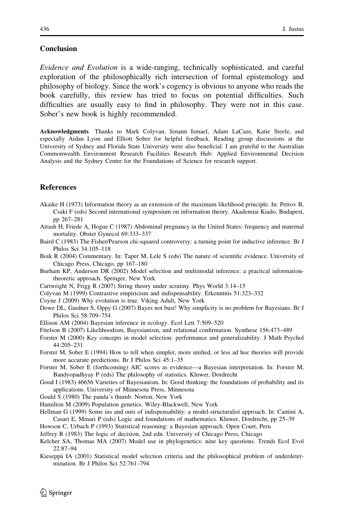## <span id="page-17-0"></span>Conclusion

Evidence and Evolution is a wide-ranging, technically sophisticated, and careful exploration of the philosophically rich intersection of formal epistemology and philosophy of biology. Since the work's cogency is obvious to anyone who reads the book carefully, this review has tried to focus on potential difficulties. Such difficulties are usually easy to find in philosophy. They were not in this case. Sober's new book is highly recommended.

Acknowledgments Thanks to Mark Colyvan, Jenann Ismael, Adam LaCaze, Katie Steele, and especially Aidan Lyon and Elliott Sober for helpful feedback. Reading group discussions at the University of Sydney and Florida State University were also beneficial. I am grateful to the Australian Commonwealth Environment Research Facilities Research Hub: Applied Environmental Decision Analysis and the Sydney Centre for the Foundations of Science for research support.

# References

- Akaike H (1973) Information theory as an extension of the maximum likelihood principle. In: Petrov B, Csaki F (eds) Second international symposium on information theory. Akademiai Kiado, Budapest, pp 267–281
- Atrash H, Friede A, Hogue C (1987) Abdominal pregnancy in the United States: frequency and maternal mortality. Obstet Gynecol 69:333–337
- Baird C (1983) The Fisher/Pearson chi-squared controversy: a turning point for inductive inference. Br J Philos Sci 34:105–118
- Boik R (2004) Commentary. In: Taper M, Lele S (eds) The nature of scientific evidence. University of Chicago Press, Chicago, pp 167–180
- Burham KP, Anderson DR (2002) Model selection and multimodal inference: a practical informationtheoretic approach. Springer, New York
- Cartwright N, Frigg R (2007) String theory under scrutiny. Phys World 3:14–15
- Colyvan M (1999) Contrastive empiricism and indispensability. Erkenntnis 51:323–332
- Coyne J (2009) Why evolution is true. Viking Adult, New York
- Dowe DL, Gardner S, Oppy G (2007) Bayes not bust! Why simplicity is no problem for Bayesians. Br J Philos Sci 58:709–754
- Ellison AM (2004) Bayesian inference in ecology. Ecol Lett 7:509–520
- Fitelson B (2007) Likelihoodism, Bayesianism, and relational confirmation. Synthese 156:473–489
- Forster M (2000) Key concepts in model selection: performance and generalizability. J Math Psychol 44:205–231
- Forster M, Sober E (1994) How to tell when simpler, more unified, or less ad hoc theories will provide more accurate predictions. Br J Philos Sci 45:1–35
- Forster M, Sober E (forthcoming) AIC scores as evidence—a Bayesian interpretation. In: Forster M, Bandyopadhyay P (eds) The philosophy of statistics. Kluwer, Dordrecht
- Good I (1983) 46656 Varieties of Bayesianism. In: Good thinking: the foundations of probability and its applications. University of Minnesota Press, Minnesota
- Gould S (1980) The panda's thumb. Norton, New York

Hamilton M (2009) Population genetics. Wiley-Blackwell, New York

Hellman G (1999) Some ins and outs of indispensability: a model-structuralist approach. In: Cantini A, Casari E, Minari P (eds) Logic and foundations of mathematics. Kluwer, Dordrecht, pp 25–39

Howson C, Urbach P (1993) Statistical reasoning: a Bayesian approach. Open Court, Peru

Jeffrey R (1983) The logic of decision, 2nd edn. University of Chicago Press, Chicago

- Kelcher SA, Thomas MA (2007) Model use in phylogenetics: nine key questions. Trends Ecol Evol 22:87–94
- Kieseppä IA (2001) Statistical model selection criteria and the philosophical problem of underdetermination. Br J Philos Sci 52:761–794